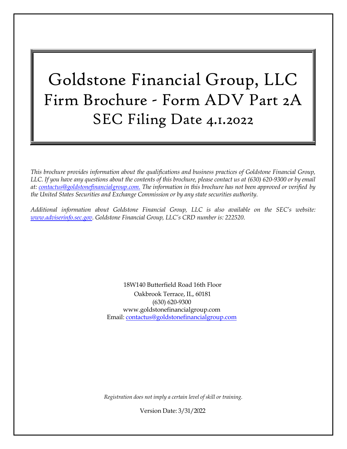# <span id="page-0-0"></span>Goldstone Financial Group, LLC Firm Brochure - Form ADV Part 2A SEC Filing Date 4.1.2022

*This brochure provides information about the qualifications and business practices of Goldstone Financial Group,* LLC. If you have any questions about the contents of this brochure, please contact us at (630) 620-9300 or by email *at: [contactus@goldstonefinancialgroup.com.](mailto:contactus@goldstonefinancialgroup.com.) The information in this brochure has not been approved or verified by the United States Securities and Exchange Commission or by any state securities authority.*

*Additional information about Goldstone Financial Group, LLC is also available on the SEC's website: [www.adviserinfo.sec.gov.](http://www.adviserinfo.sec.gov/) Goldstone Financial Group, LLC's CRD number is: 222520*.

> 18W140 Butterfield Road 16th Floor Oakbrook Terrace, IL, 60181 (630) 620-9300 www.goldstonefinancialgroup.com Email: [contactus@goldstonefinancialgroup.com](mailto:contactus@goldstonefinancialgroup.com)

*Registration does not imply a certain level of skill or training.*

Version Date: 3/31/2022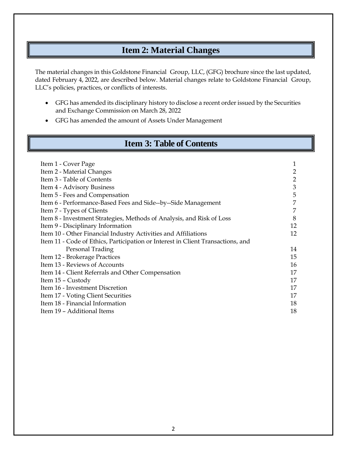# **Item 2: Material Changes**

<span id="page-1-0"></span>The material changes in this Goldstone Financial Group, LLC, (GFG) brochure since the last updated, dated February 4, 2022, are described below. Material changes relate to Goldstone Financial Group, LLC's policies, practices, or conflicts of interests.

- GFG has amended its disciplinary history to disclose a recent order issued by the Securities and Exchange Commission on March 28, 2022
- GFG has amended the amount of Assets Under Management

# **Item 3: Table of Contents**

<span id="page-1-1"></span>

| Item 1 - Cover Page                                                             | 1  |
|---------------------------------------------------------------------------------|----|
| Item 2 - Material Changes                                                       | 2  |
| Item 3 - Table of Contents                                                      | 2  |
| Item 4 - Advisory Business                                                      | 3  |
| Item 5 - Fees and Compensation                                                  | 5  |
| Item 6 - Performance-Based Fees and Side--by--Side Management                   | 7  |
| Item 7 - Types of Clients                                                       | 7  |
| Item 8 - Investment Strategies, Methods of Analysis, and Risk of Loss           | 8  |
| Item 9 - Disciplinary Information                                               | 12 |
| Item 10 - Other Financial Industry Activities and Affiliations                  | 12 |
| Item 11 - Code of Ethics, Participation or Interest in Client Transactions, and |    |
| Personal Trading                                                                | 14 |
| Item 12 - Brokerage Practices                                                   | 15 |
| Item 13 - Reviews of Accounts                                                   | 16 |
| Item 14 - Client Referrals and Other Compensation                               | 17 |
| Item 15 – Custody                                                               | 17 |
| Item 16 - Investment Discretion                                                 | 17 |
| Item 17 - Voting Client Securities                                              | 17 |
| Item 18 - Financial Information                                                 | 18 |
| Item 19 - Additional Items                                                      | 18 |
|                                                                                 |    |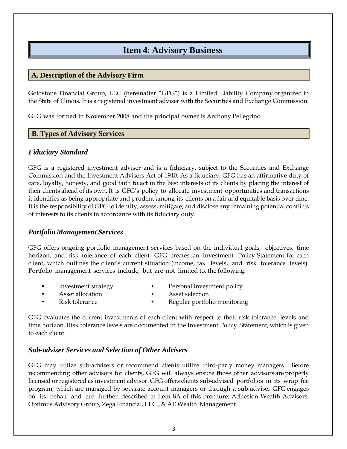# **Item 4: Advisory Business**

#### <span id="page-2-0"></span>**A. Description of the Advisory Firm**

Goldstone Financial Group, LLC (hereinafter "GFG") is a Limited Liability Company organized in the State of Illinois. It is a registered investment adviser with the Securities and Exchange Commission.

GFG was formed in November 2008 and the principal owner is Anthony Pellegrino.

#### **B. Types of Advisory Services**

#### *Fiduciary Standard*

GFG is a registered investment adviser and is a fiduciary, subject to the Securities and Exchange Commission and the Investment Advisers Act of 1940. As a fiduciary, GFG has an affirmative duty of care, loyalty, honesty, and good faith to act in the best interests of its clients by placing the interest of their clients ahead of its own. It is GFG's policy to allocate investment opportunities and transactions it identifies as being appropriate and prudent among its clients on a fair and equitable basis over time. It is the responsibility of GFG to identify, assess, mitigate, and disclose any remaining potential conflicts of interests to its clients in accordance with its fiduciary duty.

#### *Portfolio Management Services*

GFG offers ongoing portfolio management services based on the individual goals, objectives, time horizon, and risk tolerance of each client. GFG creates an Investment Policy Statement for each client, which outlines the client's current situation (income, tax levels, and risk tolerance levels). Portfolio management services include, but are not limited to, the following:

- 
- Investment strategy **•** Personal investment policy
- Asset allocation **•** Asset selection
	-
- 
- - Risk tolerance Regular portfolio monitoring

GFG evaluates the current investments of each client with respect to their risk tolerance levels and time horizon. Risk tolerance levels are documented in the Investment Policy Statement, which is given to each client.

#### *Sub-adviser Services and Selection of Other Advisers*

GFG may utilize sub-advisers or recommend clients utilize third-party money managers. Before recommending other advisors for clients, GFG will always ensure those other advisors are properly licensed or registered as investment advisor. GFG offers clients sub-advised portfolios in its wrap fee program, which are managed by separate account managers or through a sub-adviser GFG engages on its behalf and are further described in Item 8A of this brochure: Adhesion Wealth Advisors, Optimus Advisory Group, Zega Financial, LLC., & AE Wealth Management.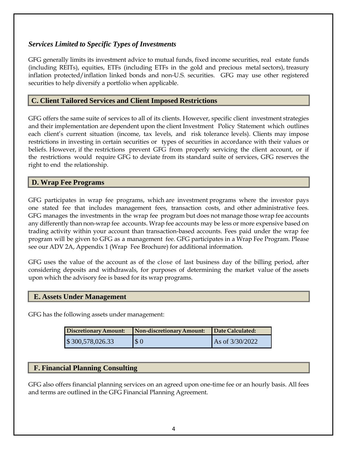# *Services Limited to Specific Types of Investments*

GFG generally limits its investment advice to mutual funds, fixed income securities, real estate funds (including REITs), equities, ETFs (including ETFs in the gold and precious metal sectors), treasury inflation protected/inflation linked bonds and non-U.S. securities. GFG may use other registered securities to help diversify a portfolio when applicable.

## **C. Client Tailored Services and Client Imposed Restrictions**

GFG offers the same suite of services to all of its clients. However, specific client investment strategies and their implementation are dependent upon the client Investment Policy Statement which outlines each client's current situation (income, tax levels, and risk tolerance levels). Clients may impose restrictions in investing in certain securities or types of securities in accordance with their values or beliefs. However, if the restrictions prevent GFG from properly servicing the client account, or if the restrictions would require GFG to deviate from its standard suite of services, GFG reserves the right to end the relationship.

#### **D. Wrap Fee Programs**

GFG participates in wrap fee programs, which are investment programs where the investor pays one stated fee that includes management fees, transaction costs, and other administrative fees. GFG manages the investments in the wrap fee program but does not manage those wrap fee accounts any differently than non-wrap fee accounts. Wrap fee accounts may be less or more expensive based on trading activity within your account than transaction-based accounts. Fees paid under the wrap fee program will be given to GFG as a management fee. GFG participates in a Wrap Fee Program. Please see our ADV 2A, Appendix 1 (Wrap Fee Brochure) for additional information.

GFG uses the value of the account as of the close of last business day of the billing period, after considering deposits and withdrawals, for purposes of determining the market value of the assets upon which the advisory fee is based for its wrap programs.

#### **E. Assets Under Management**

GFG has the following assets under management:

| <b>Discretionary Amount:</b> | Non-discretionary Amount: | Date Calculated: |
|------------------------------|---------------------------|------------------|
| \$300,578,026.33             | $\sqrt{3}0$               | As of 3/30/2022  |

#### **F. Financial Planning Consulting**

GFG also offers financial planning services on an agreed upon one-time fee or an hourly basis. All fees and terms are outlined in the GFG Financial Planning Agreement.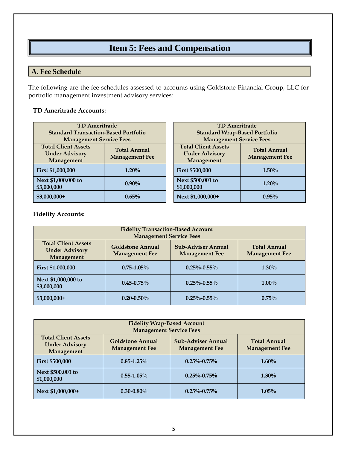# **Item 5: Fees and Compensation**

# <span id="page-4-0"></span>**A. Fee Schedule**

The following are the fee schedules assessed to accounts using Goldstone Financial Group, LLC for portfolio management investment advisory services:

## **TD Ameritrade Accounts:**

| <b>TD</b> Ameritrade                        |                       |  | <b>TD Ameritrade</b>                 |                  |
|---------------------------------------------|-----------------------|--|--------------------------------------|------------------|
| <b>Standard Transaction-Based Portfolio</b> |                       |  | <b>Standard Wrap-Based Portfolio</b> |                  |
| <b>Management Service Fees</b>              |                       |  | <b>Management Service Fees</b>       |                  |
| <b>Total Client Assets</b>                  | <b>Total Annual</b>   |  | <b>Total Client Assets</b>           | <b>Total Anr</b> |
| <b>Under Advisory</b>                       | <b>Management Fee</b> |  | <b>Under Advisory</b>                | Managemer        |
| Management                                  |                       |  | Management                           |                  |
| First \$1,000,000                           | $1.20\%$              |  | <b>First \$500,000</b>               | $1.50\%$         |
| Next \$1,000,000 to                         | $0.90\%$              |  | Next \$500,001 to                    | 1.20%            |
| \$3,000,000                                 |                       |  | \$1,000,000                          |                  |
| $$3,000,000+$                               | 0.65%                 |  | Next \$1,000,000+                    | 0.95%            |

| <b>TD Ameritrade</b>                                                                                              |          |  |
|-------------------------------------------------------------------------------------------------------------------|----------|--|
| <b>Standard Wrap-Based Portfolio</b>                                                                              |          |  |
| <b>Management Service Fees</b>                                                                                    |          |  |
| <b>Total Client Assets</b><br><b>Total Annual</b><br><b>Under Advisory</b><br><b>Management Fee</b><br>Management |          |  |
| <b>First \$500,000</b>                                                                                            | $1.50\%$ |  |
| Next \$500,001 to<br>\$1,000,000                                                                                  | 1.20%    |  |
| Next \$1,000,000+                                                                                                 | $0.95\%$ |  |

#### **Fidelity Accounts:**

| <b>Fidelity Transaction-Based Account</b><br><b>Management Service Fees</b> |                                                  |                                                    |                                              |
|-----------------------------------------------------------------------------|--------------------------------------------------|----------------------------------------------------|----------------------------------------------|
| <b>Total Client Assets</b><br><b>Under Advisory</b><br>Management           | <b>Goldstone Annual</b><br><b>Management Fee</b> | <b>Sub-Adviser Annual</b><br><b>Management Fee</b> | <b>Total Annual</b><br><b>Management Fee</b> |
| First \$1,000,000                                                           | $0.75 - 1.05\%$                                  | $0.25\% - 0.55\%$                                  | $1.30\%$                                     |
| Next \$1,000,000 to<br>\$3,000,000                                          | $0.45 - 0.75\%$                                  | $0.25\% - 0.55\%$                                  | $1.00\%$                                     |
| $$3,000,000+$                                                               | $0.20 - 0.50\%$                                  | $0.25\% - 0.55\%$                                  | 0.75%                                        |

| <b>Fidelity Wrap-Based Account</b><br><b>Management Service Fees</b> |                                                  |                                                    |                                              |
|----------------------------------------------------------------------|--------------------------------------------------|----------------------------------------------------|----------------------------------------------|
| <b>Total Client Assets</b><br><b>Under Advisory</b><br>Management    | <b>Goldstone Annual</b><br><b>Management Fee</b> | <b>Sub-Adviser Annual</b><br><b>Management Fee</b> | <b>Total Annual</b><br><b>Management Fee</b> |
| <b>First \$500,000</b>                                               | $0.85 - 1.25\%$                                  | $0.25\% - 0.75\%$                                  | $1.60\%$                                     |
| Next \$500,001 to<br>\$1,000,000                                     | $0.55 - 1.05\%$                                  | $0.25\% - 0.75\%$                                  | $1.30\%$                                     |
| Next \$1,000,000+                                                    | $0.30 - 0.80\%$                                  | $0.25\% - 0.75\%$                                  | $1.05\%$                                     |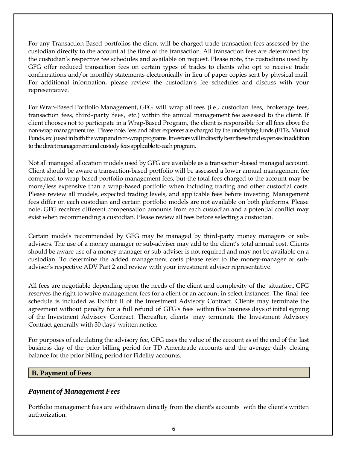For any Transaction-Based portfolios the client will be charged trade transaction fees assessed by the custodian directly to the account at the time of the transaction. All transaction fees are determined by the custodian's respective fee schedules and available on request. Please note, the custodians used by GFG offer reduced transaction fees on certain types of trades to clients who opt to receive trade confirmations and/or monthly statements electronically in lieu of paper copies sent by physical mail. For additional information, please review the custodian's fee schedules and discuss with your representative.

For Wrap-Based Portfolio Management, GFG will wrap all fees (i.e., custodian fees, brokerage fees, transaction fees, third-party fees, etc.) within the annual management fee assessed to the client. If client chooses not to participate in a Wrap-Based Program, the client is responsible for all fees above the non-wrap management fee. Please note, fees and other expenses are charged by the underlying funds (ETFs, Mutual Funds, etc.) used in both the wrap and non-wrap programs. Investors will indirectly bear these fund expenses in addition to the direct management and custody fees applicable to each program.

Not all managed allocation models used by GFG are available as a transaction-based managed account. Client should be aware a transaction-based portfolio will be assessed a lower annual management fee compared to wrap-based portfolio management fees, but the total fees charged to the account may be more/less expensive than a wrap-based portfolio when including trading and other custodial costs. Please review all models, expected trading levels, and applicable fees before investing. Management fees differ on each custodian and certain portfolio models are not available on both platforms. Please note, GFG receives different compensation amounts from each custodian and a potential conflict may exist when recommending a custodian. Please review all fees before selecting a custodian.

Certain models recommended by GFG may be managed by third-party money managers or subadvisers. The use of a money manager or sub-adviser may add to the client's total annual cost. Clients should be aware use of a money manager or sub-adviser is not required and may not be available on a custodian. To determine the added management costs please refer to the money-manager or subadviser's respective ADV Part 2 and review with your investment adviser representative.

All fees are negotiable depending upon the needs of the client and complexity of the situation. GFG reserves the right to waive management fees for a client or an account in select instances. The final fee schedule is included as Exhibit II of the Investment Advisory Contract. Clients may terminate the agreement without penalty for a full refund of GFG's fees within five business days of initial signing of the Investment Advisory Contract. Thereafter, clients may terminate the Investment Advisory Contract generally with 30 days' written notice.

For purposes of calculating the advisory fee, GFG uses the value of the account as of the end of the last business day of the prior billing period for TD Ameritrade accounts and the average daily closing balance for the prior billing period for Fidelity accounts.

# **B. Payment of Fees**

# *Payment of Management Fees*

Portfolio management fees are withdrawn directly from the client's accounts with the client's written authorization.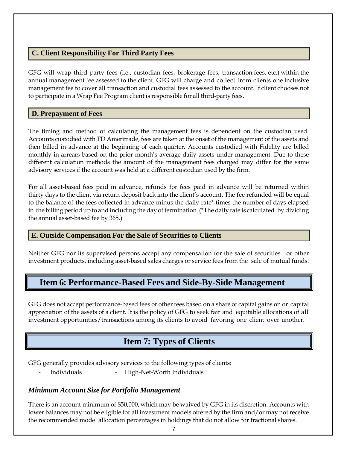# **C. Client Responsibility For Third Party Fees**

GFG will wrap third party fees (i.e., custodian fees, brokerage fees, transaction fees, etc.) within the annual management fee assessed to the client. GFG will charge and collect from clients one inclusive management fee to cover all transaction and custodial fees assessed to the account. If client chooses not to participate in a Wrap Fee Program client is responsible for all third-party fees.

## **D. Prepayment of Fees**

The timing and method of calculating the management fees is dependent on the custodian used. Accounts custodied with TD Ameritrade, fees are taken at the onset of the management of the assets and then billed in advance at the beginning of each quarter. Accounts custodied with Fidelity are billed monthly in arrears based on the prior month's average daily assets under management. Due to these different calculation methods the amount of the management fees charged may differ for the same advisory services if the account was held at a different custodian used by the firm.

For all asset-based fees paid in advance, refunds for fees paid in advance will be returned within thirty days to the client via return deposit back into the client's account. The fee refunded will be equal to the balance of the fees collected in advance minus the daily rate\* times the number of days elapsed in the billing periodup to and including the day of termination.(\*The daily rate is calculated by dividing the annual asset-based fee by 365.)

# **E. Outside Compensation For the Sale of Securities to Clients**

Neither GFG nor its supervised persons accept any compensation for the sale of securities or other investment products, including asset-based sales charges or service fees from the sale of mutual funds.

# <span id="page-6-0"></span>**Item 6: Performance-Based Fees and Side-By-Side Management**

GFG does not accept performance-based fees or other fees based on a share of capital gains on or capital appreciation of the assets of a client. It is the policy of GFG to seek fair and equitable allocations of all investment opportunities/transactions among its clients to avoid favoring one client over another.

# **Item 7: Types of Clients**

<span id="page-6-1"></span>GFG generally provides advisory services to the following types of clients:

Individuals - High-Net-Worth Individuals

#### *Minimum Account Size for Portfolio Management*

There is an account minimum of \$50,000, which may be waived by GFG in its discretion. Accounts with lower balances may not be eligible for all investment models offered by the firm and/or may not receive the recommended model allocation percentages in holdings that do not allow for fractional shares.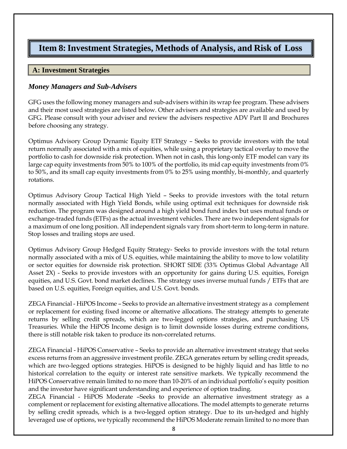# <span id="page-7-0"></span>**Item 8:Investment Strategies, Methods of Analysis, and Risk of Loss**

## **A: Investment Strategies**

#### *Money Managers and Sub-Advisers*

GFG uses the following money managers and sub-advisers within its wrap fee program. These advisers and their most used strategies are listed below. Other advisers and strategies are available and used by GFG. Please consult with your adviser and review the advisers respective ADV Part II and Brochures before choosing any strategy.

Optimus Advisory Group Dynamic Equity ETF Strategy – Seeks to provide investors with the total return normally associated with a mix of equities, while using a proprietary tactical overlay to move the portfolio to cash for downside risk protection. When not in cash, this long-only ETF model can vary its large cap equity investments from 50% to 100% of the portfolio, its mid cap equity investments from 0% to 50%, and its small cap equity investments from 0% to 25% using monthly, bi-monthly, and quarterly rotations.

Optimus Advisory Group Tactical High Yield – Seeks to provide investors with the total return normally associated with High Yield Bonds, while using optimal exit techniques for downside risk reduction. The program was designed around a high yield bond fund index but uses mutual funds or exchange-traded funds (ETFs) as the actual investment vehicles. There are two independent signals for a maximum of one long position. All independent signals vary from short-term to long-term in nature. Stop losses and trailing stops are used.

Optimus Advisory Group Hedged Equity Strategy- Seeks to provide investors with the total return normally associated with a mix of U.S. equities, while maintaining the ability to move to low volatility or sector equities for downside risk protection. SHORT SIDE (33% Optimus Global Advantage All Asset 2X) - Seeks to provide investors with an opportunity for gains during U.S. equities, Foreign equities, and U.S. Govt. bond market declines. The strategy uses inverse mutual funds / ETFs that are based on U.S. equities, Foreign equities, and U.S. Govt. bonds.

ZEGA Financial - HiPOS Income – Seeks to provide an alternative investment strategy as a complement or replacement for existing fixed income or alternative allocations. The strategy attempts to generate returns by selling credit spreads, which are two-legged options strategies, and purchasing US Treasuries. While the HiPOS Income design is to limit downside losses during extreme conditions, there is still notable risk taken to produce its non-correlated returns.

ZEGA Financial - HiPOS Conservative – Seeks to provide an alternative investment strategy that seeks excess returns from an aggressive investment profile. ZEGA generates return by selling credit spreads, which are two-legged options strategies. HiPOS is designed to be highly liquid and has little to no historical correlation to the equity or interest rate sensitive markets. We typically recommend the HiPOS Conservative remain limited to no more than 10-20% of an individual portfolio's equity position and the investor have significant understanding and experience of option trading.

ZEGA Financial - HiPOS Moderate –Seeks to provide an alternative investment strategy as a complement or replacement for existing alternative allocations. The model attempts to generate returns by selling credit spreads, which is a two-legged option strategy. Due to its un-hedged and highly leveraged use of options, we typically recommend the HiPOS Moderate remain limited to no more than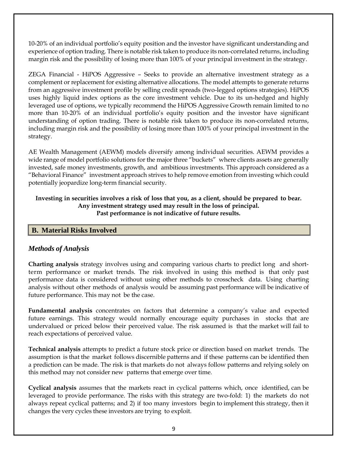10-20% of an individual portfolio's equity position and the investor have significant understanding and experience of option trading. There is notable risk taken to produce its non-correlated returns, including margin risk and the possibility of losing more than 100% of your principal investment in the strategy.

ZEGA Financial - HiPOS Aggressive – Seeks to provide an alternative investment strategy as a complement or replacement for existing alternative allocations. The model attempts to generate returns from an aggressive investment profile by selling credit spreads (two-legged options strategies). HiPOS uses highly liquid index options as the core investment vehicle. Due to its un-hedged and highly leveraged use of options, we typically recommend the HiPOS Aggressive Growth remain limited to no more than 10-20% of an individual portfolio's equity position and the investor have significant understanding of option trading. There is notable risk taken to produce its non-correlated returns, including margin risk and the possibility of losing more than 100% of your principal investment in the strategy.

AE Wealth Management (AEWM) models diversify among individual securities. AEWM provides a wide range of model portfolio solutions for the major three "buckets" where clients assets are generally invested, safe money investments, growth, and ambitious investments. This approach considered as a "Behavioral Finance" investment approach strives to help remove emotion from investing which could potentially jeopardize long-term financial security.

#### **Investing in securities involves a risk of loss that you, as a client, should be prepared to bear. Any investment strategy used may result in the loss of principal. Past performance is not indicative of future results.**

#### **B. Material Risks Involved**

# *Methods of Analysis*

**Charting analysis** strategy involves using and comparing various charts to predict long and shortterm performance or market trends. The risk involved in using this method is that only past performance data is considered without using other methods to crosscheck data. Using charting analysis without other methods of analysis would be assuming past performance will be indicative of future performance. This may not be the case.

**Fundamental analysis** concentrates on factors that determine a company's value and expected future earnings. This strategy would normally encourage equity purchases in stocks that are undervalued or priced below their perceived value. The risk assumed is that the market will fail to reach expectations of perceived value.

**Technical analysis** attempts to predict a future stock price or direction based on market trends. The assumption is that the market follows discernible patterns and if these patterns can be identified then a prediction can be made. The risk is that markets do not always follow patterns and relying solely on this method may not consider new patterns that emerge over time.

**Cyclical analysis** assumes that the markets react in cyclical patterns which, once identified, can be leveraged to provide performance. The risks with this strategy are two-fold: 1) the markets do not always repeat cyclical patterns; and 2) if too many investors begin to implement this strategy, then it changes the very cycles these investors are trying to exploit.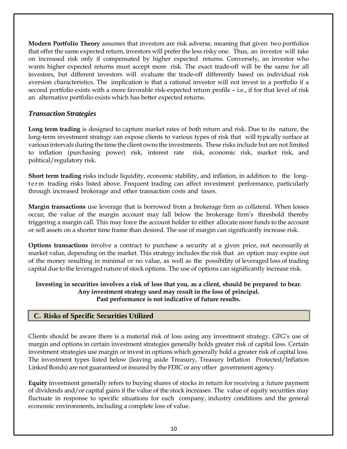**Modern Portfolio Theory** assumes that investors are risk adverse, meaning that given two portfolios that offer the same expected return, investors will prefer the less risky one. Thus, an investor will take on increased risk only if compensated by higher expected returns. Conversely, an investor who wants higher expected returns must accept more risk. The exact trade-off will be the same for all investors, but different investors will evaluate the trade-off differently based on individual risk aversion characteristics. The implication is that a rational investor will not invest in a portfolio if a second portfolio exists with a more favorable risk-expected return profile – i.e., if for that level of risk an alternative portfolio exists which has better expected returns.

## *Transaction Strategies*

**Long term trading** is designed to capture market rates of both return and risk. Due to its nature, the long-term investment strategy can expose clients to various types of risk that will typically surface at various intervals during the time the client owns the investments. These risks include but are not limited to inflation (purchasing power) risk, interest rate risk, economic risk, market risk, and political/regulatory risk.

**Short term trading** risks include liquidity, economic stability, and inflation, in addition to the longterm trading risks listed above. Frequent trading can affect investment performance, particularly through increased brokerage and other transaction costs and taxes.

**Margin transactions** use leverage that is borrowed from a brokerage firm as collateral. When losses occur, the value of the margin account may fall below the brokerage firm's threshold thereby triggering a margin call. This may force the account holder to either allocate more funds to the account or sell assets on a shorter time frame than desired. The use of margin can significantly increase risk.

**Options transactions** involve a contract to purchase a security at a given price, not necessarily at market value, depending on the market. This strategy includes the risk that an option may expire out of the money resulting in minimal or no value, as well as the possibility of leveraged loss of trading capital due to the leveraged nature of stock options. The use of options can significantly increase risk.

#### **Investing in securities involves a risk of loss that you, as a client, should be prepared to bear. Any investment strategy used may result in the loss of principal. Past performance is not indicative of future results.**

# **C. Risks of Specific Securities Utilized**

Clients should be aware there is a material risk of loss using any investment strategy. GFG's use of margin and options in certain investment strategies generally holds greater risk of capital loss. Certain investment strategies use margin or invest in options which generally hold a greater risk of capital loss. The investment types listed below (leaving aside Treasury, Treasury Inflation Protected/Inflation Linked Bonds) are not guaranteed or insured by the FDIC or any other government agency.

**Equity** investment generally refers to buying shares of stocks in return for receiving a future payment of dividends and/or capital gains if the value of the stock increases. The value of equity securities may fluctuate in response to specific situations for each company, industry conditions and the general economic environments, including a complete loss of value.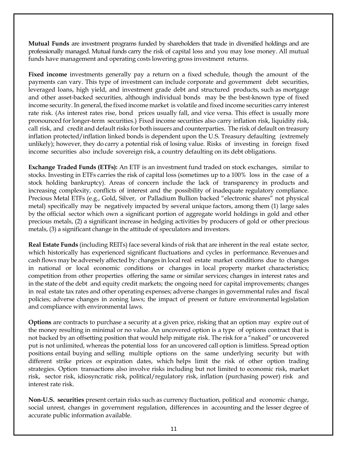**Mutual Funds** are investment programs funded by shareholders that trade in diversified holdings and are professionally managed. Mutual funds carry the risk of capital loss and you may lose money. All mutual funds have management and operating costs lowering gross investment returns.

**Fixed income** investments generally pay a return on a fixed schedule, though the amount of the payments can vary. This type of investment can include corporate and government debt securities, leveraged loans, high yield, and investment grade debt and structured products, such as mortgage and other asset-backed securities, although individual bonds may be the best-known type of fixed income security. In general, the fixed income market is volatile and fixed income securities carry interest rate risk. (As interest rates rise, bond prices usually fall, and vice versa. This effect is usually more pronounced forlonger-term securities.) Fixed income securities also carry inflation risk, liquidity risk, call risk, and credit and default risks for both issuers and counterparties. The risk of default on treasury inflation protected/inflation linked bonds is dependent upon the U.S. Treasury defaulting (extremely unlikely); however, they do carry a potential risk of losing value. Risks of investing in foreign fixed income securities also include sovereign risk, a country defaulting on its debt obligations.

**Exchange Traded Funds (ETFs):** An ETF is an investment fund traded on stock exchanges, similar to stocks. Investing in ETFs carries the risk of capital loss (sometimes up to a 100% loss in the case of a stock holding bankruptcy). Areas of concern include the lack of transparency in products and increasing complexity, conflicts of interest and the possibility of inadequate regulatory compliance. Precious Metal ETFs (e.g., Gold, Silver, or Palladium Bullion backed "electronic shares" not physical metal) specifically may be negatively impacted by several unique factors, among them (1) large sales by the official sector which own a significant portion of aggregate world holdings in gold and other precious metals, (2) a significant increase in hedging activities by producers of gold or other precious metals, (3) a significant change in the attitude of speculators and investors.

**Real Estate Funds** (including REITs) face several kinds of risk that are inherent in the real estate sector, which historically has experienced significant fluctuations and cycles in performance. Revenues and cash flows may be adversely affected by: changes in localreal estate market conditions due to changes in national or local economic conditions or changes in local property market characteristics; competition from other properties offering the same or similar services; changes in interest rates and in the state of the debt and equity credit markets; the ongoing need for capital improvements; changes in real estate tax rates and other operating expenses; adverse changes in governmental rules and fiscal policies; adverse changes in zoning laws; the impact of present or future environmental legislation and compliance with environmental laws.

**Options** are contracts to purchase a security at a given price, risking that an option may expire out of the money resulting in minimal or no value. An uncovered option is a type of options contract that is not backed by an offsetting position that would help mitigate risk. The risk for a "naked" or uncovered put is not unlimited, whereas the potential loss for an uncovered call option is limitless. Spread option positions entail buying and selling multiple options on the same underlying security but with different strike prices or expiration dates, which helps limit the risk of other option trading strategies. Option transactions also involve risks including but not limited to economic risk, market risk, sector risk, idiosyncratic risk, political/regulatory risk, inflation (purchasing power) risk and interest rate risk.

**Non-U.S. securities** present certain risks such as currency fluctuation, political and economic change, social unrest, changes in government regulation, differences in accounting and the lesser degree of accurate public information available.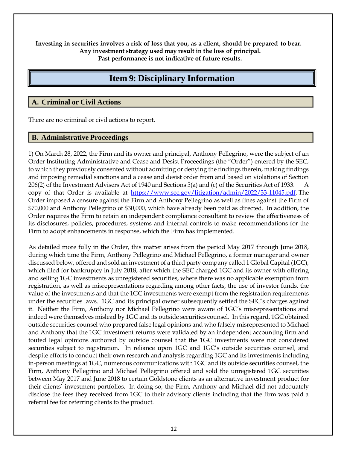**Investing in securities involves a risk of loss that you, as a client, should be prepared to bear. Any investment strategy used may result in the loss of principal. Past performance is not indicative of future results.**

# **Item 9: Disciplinary Information**

#### <span id="page-11-0"></span>**A. Criminal or Civil Actions**

There are no criminal or civil actions to report.

#### **B. Administrative Proceedings**

1) On March 28, 2022, the Firm and its owner and principal, Anthony Pellegrino, were the subject of an Order Instituting Administrative and Cease and Desist Proceedings (the "Order") entered by the SEC, to which they previously consented without admitting or denying the findings therein, making findings and imposing remedial sanctions and a cease and desist order from and based on violations of Section 206(2) of the Investment Advisers Act of 1940 and Sections 5(a) and (c) of the Securities Act of 1933. A copy of that Order is available at [https://www.sec.gov/litigation/admin/2022/33-11045.pdf.](https://www.sec.gov/litigation/admin/2022/33-11045.pdf) The Order imposed a censure against the Firm and Anthony Pellegrino as well as fines against the Firm of \$70,000 and Anthony Pellegrino of \$30,000, which have already been paid as directed. In addition, the Order requires the Firm to retain an independent compliance consultant to review the effectiveness of its disclosures, policies, procedures, systems and internal controls to make recommendations for the Firm to adopt enhancements in response, which the Firm has implemented.

As detailed more fully in the Order, this matter arises from the period May 2017 through June 2018, during which time the Firm, Anthony Pellegrino and Michael Pellegrino, a former manager and owner discussed below, offered and sold an investment of a third party company called 1 Global Capital (1GC), which filed for bankruptcy in July 2018, after which the SEC charged 1GC and its owner with offering and selling 1GC investments as unregistered securities, where there was no applicable exemption from registration, as well as misrepresentations regarding among other facts, the use of investor funds, the value of the investments and that the 1GC investments were exempt from the registration requirements under the securities laws. 1GC and its principal owner subsequently settled the SEC's charges against it. Neither the Firm, Anthony nor Michael Pellegrino were aware of 1GC's misrepresentations and indeed were themselves mislead by 1GC and its outside securities counsel. In this regard, 1GC obtained outside securities counsel who prepared false legal opinions and who falsely misrepresented to Michael and Anthony that the 1GC investment returns were validated by an independent accounting firm and touted legal opinions authored by outside counsel that the 1GC investments were not considered securities subject to registration. In reliance upon 1GC and 1GC's outside securities counsel, and despite efforts to conduct their own research and analysis regarding 1GC and its investments including in-person meetings at 1GC, numerous communications with 1GC and its outside securities counsel, the Firm, Anthony Pellegrino and Michael Pellegrino offered and sold the unregistered 1GC securities between May 2017 and June 2018 to certain Goldstone clients as an alternative investment product for their clients' investment portfolios. In doing so, the Firm, Anthony and Michael did not adequately disclose the fees they received from 1GC to their advisory clients including that the firm was paid a referral fee for referring clients to the product.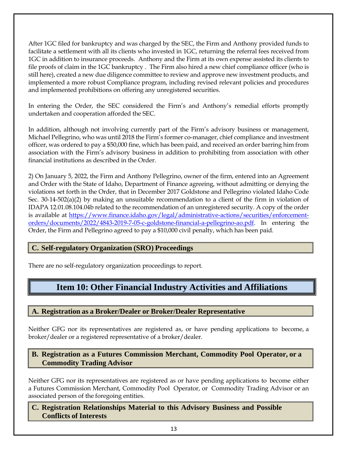After 1GC filed for bankruptcy and was charged by the SEC, the Firm and Anthony provided funds to facilitate a settlement with all its clients who invested in 1GC, returning the referral fees received from 1GC in addition to insurance proceeds. Anthony and the Firm at its own expense assisted its clients to file proofs of claim in the 1GC bankruptcy . The Firm also hired a new chief compliance officer (who is still here), created a new due diligence committee to review and approve new investment products, and implemented a more robust Compliance program, including revised relevant policies and procedures and implemented prohibitions on offering any unregistered securities.

In entering the Order, the SEC considered the Firm's and Anthony's remedial efforts promptly undertaken and cooperation afforded the SEC.

In addition, although not involving currently part of the Firm's advisory business or management, Michael Pellegrino, who was until 2018 the Firm's former co-manager, chief compliance and investment officer, was ordered to pay a \$50,000 fine, which has been paid, and received an order barring him from association with the Firm's advisory business in addition to prohibiting from association with other financial institutions as described in the Order.

2) On January 5, 2022, the Firm and Anthony Pellegrino, owner of the firm, entered into an Agreement and Order with the State of Idaho, Department of Finance agreeing, without admitting or denying the violations set forth in the Order, that in December 2017 Goldstone and Pellegrino violated Idaho Code Sec. 30-14-502(a)(2) by making an unsuitable recommendation to a client of the firm in violation of IDAPA 12.01.08.104.04b related to the recommendation of an unregistered security. A copy of the order is available at [https://www.finance.idaho.gov/legal/administrative-actions/securities/enforcement](https://www.finance.idaho.gov/legal/administrative-actions/securities/enforcement-orders/documents/2022/4843-2019-7-05-c-goldstone-financial-a-pellegrino-ao.pdf)[orders/documents/2022/4843-2019-7-05-c-goldstone-financial-a-pellegrino-ao.pdf.](https://www.finance.idaho.gov/legal/administrative-actions/securities/enforcement-orders/documents/2022/4843-2019-7-05-c-goldstone-financial-a-pellegrino-ao.pdf) In entering the Order, the Firm and Pellegrino agreed to pay a \$10,000 civil penalty, which has been paid.

# **C. Self-regulatory Organization (SRO) Proceedings**

<span id="page-12-0"></span>There are no self-regulatory organization proceedings to report.

# **Item 10: Other Financial Industry Activities and Affiliations**

# **A. Registration as a Broker/Dealer or Broker/Dealer Representative**

Neither GFG nor its representatives are registered as, or have pending applications to become, a broker/dealer or a registered representative of a broker/dealer.

## **B. Registration as a Futures Commission Merchant, Commodity Pool Operator, or a Commodity Trading Advisor**

Neither GFG nor its representatives are registered as or have pending applications to become either a Futures Commission Merchant, Commodity Pool Operator, or Commodity Trading Advisor or an associated person of the foregoing entities.

**C. Registration Relationships Material to this Advisory Business and Possible Conflicts of Interests**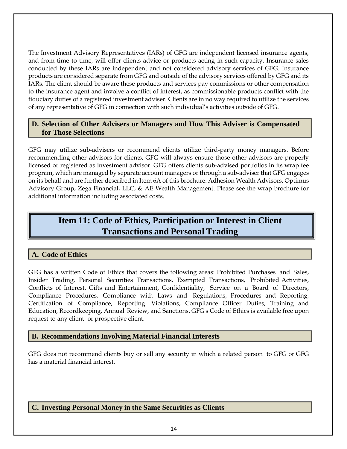The Investment Advisory Representatives (IARs) of GFG are independent licensed insurance agents, and from time to time, will offer clients advice or products acting in such capacity. Insurance sales conducted by these IARs are independent and not considered advisory services of GFG. Insurance products are considered separate from GFG and outside of the advisory services offered by GFG and its IARs. The client should be aware these products and services pay commissions or other compensation to the insurance agent and involve a conflict of interest, as commissionable products conflict with the fiduciary duties of a registered investment adviser. Clients are in no way required to utilize the services of any representative of GFG in connection with such individual's activities outside of GFG.

## **D. Selection of Other Advisers or Managers and How This Adviser is Compensated for Those Selections**

GFG may utilize sub-advisers or recommend clients utilize third-party money managers. Before recommending other advisors for clients, GFG will always ensure those other advisors are properly licensed or registered as investment advisor. GFG offers clients sub-advised portfolios in its wrap fee program, which are managed by separate account managers or through a sub-adviser that GFG engages on its behalf and are further described in Item 6A of this brochure: Adhesion Wealth Advisors, Optimus Advisory Group, Zega Financial, LLC, & AE Wealth Management. Please see the wrap brochure for additional information including associated costs.

# <span id="page-13-0"></span>**Item 11: Code of Ethics, Participation or Interest in Client Transactions and Personal Trading**

# **A. Code of Ethics**

GFG has a written Code of Ethics that covers the following areas: Prohibited Purchases and Sales, Insider Trading, Personal Securities Transactions, Exempted Transactions, Prohibited Activities, Conflicts of Interest, Gifts and Entertainment, Confidentiality, Service on a Board of Directors, Compliance Procedures, Compliance with Laws and Regulations, Procedures and Reporting, Certification of Compliance, Reporting Violations, Compliance Officer Duties, Training and Education, Recordkeeping, Annual Review, and Sanctions. GFG's Code of Ethics is available free upon request to any client or prospective client.

#### **B. Recommendations Involving Material Financial Interests**

GFG does not recommend clients buy or sell any security in which a related person to GFG or GFG has a material financial interest.

#### **C. Investing Personal Money in the Same Securities as Clients**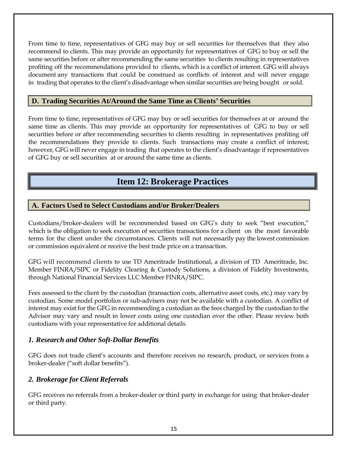From time to time, representatives of GFG may buy or sell securities for themselves that they also recommend to clients. This may provide an opportunity for representatives of GFG to buy or sell the same securities before or after recommending the same securities to clients resulting in representatives profiting off the recommendations provided to clients, which is a conflict of interest. GFG will always document any transactions that could be construed as conflicts of interest and will never engage in trading that operates to the client's disadvantage when similar securities are being bought or sold.

## **D. Trading Securities At/Around the Same Time as Clients' Securities**

From time to time, representatives of GFG may buy or sell securities for themselves at or around the same time as clients. This may provide an opportunity for representatives of GFG to buy or sell securities before or after recommending securities to clients resulting in representatives profiting off the recommendations they provide to clients. Such transactions may create a conflict of interest; however, GFG will never engage in trading that operates to the client's disadvantage if representatives of GFG buy or sell securities at or around the same time as clients.

# **Item 12: Brokerage Practices**

## <span id="page-14-0"></span>**A. Factors Used to Select Custodians and/or Broker/Dealers**

Custodians/broker-dealers will be recommended based on GFG's duty to seek "best execution," which is the obligation to seek execution of securities transactions for a client on the most favorable terms for the client under the circumstances. Clients will not necessarily pay the lowest commission or commission equivalent or receive the best trade price on a transaction.

GFG will recommend clients to use TD Ameritrade Institutional, a division of TD Ameritrade, Inc. Member FINRA/SIPC or Fidelity Clearing & Custody Solutions, a division of Fidelity Investments, through National Financial Services LLC Member FINRA/SIPC.

Fees assessed to the client by the custodian (transaction costs, alternative asset costs, etc.) may vary by custodian. Some model portfolios or sub-advisers may not be available with a custodian. A conflict of interest may exist for the GFG in recommending a custodian as the fees charged by the custodian to the Advisor may vary and result in lower costs using one custodian over the other. Please review both custodians with your representative for additional details.

#### *1. Research and Other Soft-Dollar Benefits*

GFG does not trade client's accounts and therefore receives no research, product, or services from a broker-dealer ("soft dollar benefits").

# *2. Brokerage for Client Referrals*

GFG receives no referrals from a broker-dealer or third party in exchange for using that broker-dealer or third party.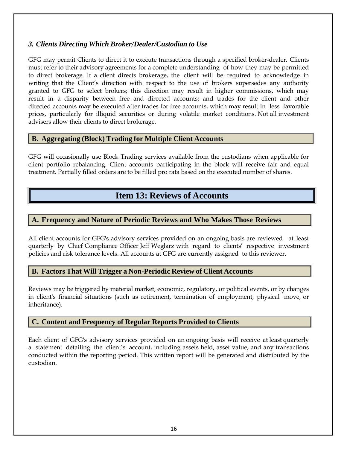# *3. Clients Directing Which Broker/Dealer/Custodian to Use*

GFG may permit Clients to direct it to execute transactions through a specified broker-dealer. Clients must refer to their advisory agreements for a complete understanding of how they may be permitted to direct brokerage. If a client directs brokerage, the client will be required to acknowledge in writing that the Client's direction with respect to the use of brokers supersedes any authority granted to GFG to select brokers; this direction may result in higher commissions, which may result in a disparity between free and directed accounts; and trades for the client and other directed accounts may be executed after trades for free accounts, which may result in less favorable prices, particularly for illiquid securities or during volatile market conditions. Not all investment advisers allow their clients to direct brokerage.

#### **B. Aggregating (Block) Trading for Multiple Client Accounts**

GFG will occasionally use Block Trading services available from the custodians when applicable for client portfolio rebalancing. Client accounts participating in the block will receive fair and equal treatment. Partially filled orders are to be filled pro rata based on the executed number of shares.

# **Item 13: Reviews of Accounts**

#### <span id="page-15-0"></span>**A. Frequency and Nature of Periodic Reviews and Who Makes Those Reviews**

All client accounts for GFG's advisory services provided on an ongoing basis are reviewed at least quarterly by Chief Compliance Officer Jeff Weglarz with regard to clients' respective investment policies and risk tolerance levels. All accounts at GFG are currently assigned to this reviewer.

#### **B. Factors That Will Trigger a Non-Periodic Review of Client Accounts**

Reviews may be triggered by material market, economic, regulatory, or political events, or by changes in client's financial situations (such as retirement, termination of employment, physical move, or inheritance).

#### **C. Content and Frequency of Regular Reports Provided to Clients**

Each client of GFG's advisory services provided on an ongoing basis will receive at least quarterly a statement detailing the client's account, including assets held, asset value, and any transactions conducted within the reporting period. This written report will be generated and distributed by the custodian.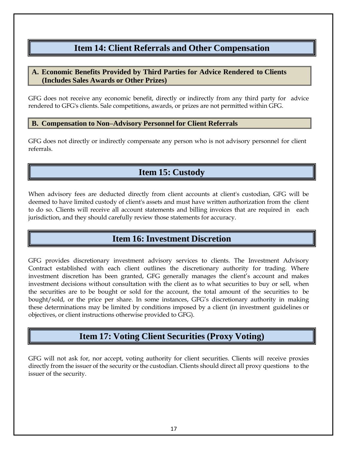# **Item 14: Client Referrals and Other Compensation**

# <span id="page-16-0"></span>**A. Economic Benefits Provided by Third Parties for Advice Rendered to Clients (Includes Sales Awards or Other Prizes)**

GFG does not receive any economic benefit, directly or indirectly from any third party for advice rendered to GFG's clients. Sale competitions, awards, or prizes are not permitted within GFG.

#### **B. Compensation to Non–Advisory Personnel for Client Referrals**

GFG does not directly or indirectly compensate any person who is not advisory personnel for client referrals.

# **Item 15: Custody**

<span id="page-16-1"></span>When advisory fees are deducted directly from client accounts at client's custodian, GFG will be deemed to have limited custody of client's assets and must have written authorization from the client to do so. Clients will receive all account statements and billing invoices that are required in each jurisdiction, and they should carefully review those statements for accuracy.

# **Item 16: Investment Discretion**

<span id="page-16-2"></span>GFG provides discretionary investment advisory services to clients. The Investment Advisory Contract established with each client outlines the discretionary authority for trading. Where investment discretion has been granted, GFG generally manages the client's account and makes investment decisions without consultation with the client as to what securities to buy or sell, when the securities are to be bought or sold for the account, the total amount of the securities to be bought/sold, or the price per share. In some instances, GFG's discretionary authority in making these determinations may be limited by conditions imposed by a client (in investment guidelines or objectives, or client instructions otherwise provided to GFG).

# **Item 17: Voting Client Securities (Proxy Voting)**

<span id="page-16-3"></span>GFG will not ask for, nor accept, voting authority for client securities. Clients will receive proxies directly from the issuer of the security or the custodian. Clients should direct all proxy questions to the issuer of the security.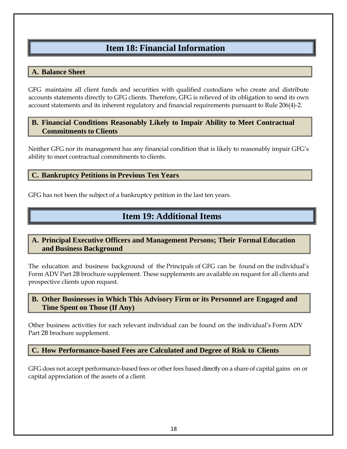# **Item 18: Financial Information**

## <span id="page-17-0"></span>**A. Balance Sheet**

GFG maintains all client funds and securities with qualified custodians who create and distribute accounts statements directly to GFG clients. Therefore, GFG is relieved of its obligation to send its own account statements and its inherent regulatory and financial requirements pursuant to Rule 206(4)-2.

#### **B. Financial Conditions Reasonably Likely to Impair Ability to Meet Contractual Commitments to Clients**

Neither GFG nor its management has any financial condition that is likely to reasonably impair GFG's ability to meet contractual commitments to clients.

#### **C. Bankruptcy Petitions in Previous Ten Years**

<span id="page-17-1"></span>GFG has not been the subject of a bankruptcy petition in the last ten years.

# **Item 19: Additional Items**

## **A. Principal Executive Officers and Management Persons; Their Formal Education and Business Background**

The education and business background of the Principals of GFG can be found on the individual's Form ADV Part 2B brochure supplement. These supplements are available on request for all clients and prospective clients upon request.

## **B. Other Businesses in Which This Advisory Firm or its Personnel are Engaged and Time Spent on Those (If Any)**

Other business activities for each relevant individual can be found on the individual's Form ADV Part 2B brochure supplement.

**C. How Performance-based Fees are Calculated and Degree of Risk to Clients**

GFG does not accept performance-based fees or other fees based directly on a share of capital gains on or capital appreciation of the assets of a client.